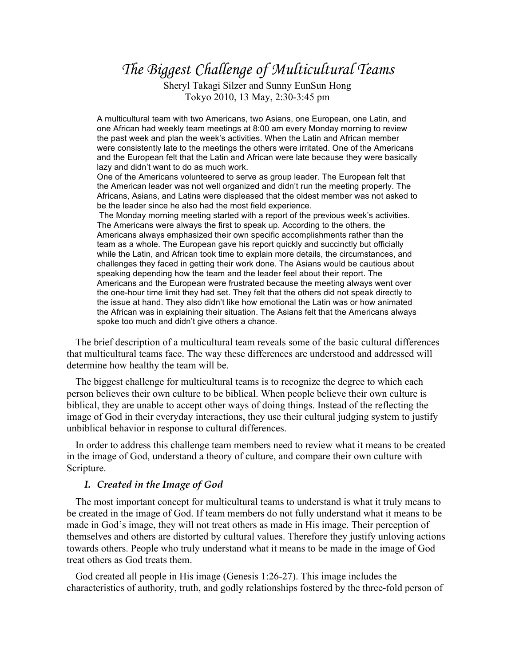## *The Biggest Challenge of Multicultural Teams*

Sheryl Takagi Silzer and Sunny EunSun Hong Tokyo 2010, 13 May, 2:30-3:45 pm

A multicultural team with two Americans, two Asians, one European, one Latin, and one African had weekly team meetings at 8:00 am every Monday morning to review the past week and plan the week's activities. When the Latin and African member were consistently late to the meetings the others were irritated. One of the Americans and the European felt that the Latin and African were late because they were basically lazy and didn't want to do as much work.

One of the Americans volunteered to serve as group leader. The European felt that the American leader was not well organized and didn't run the meeting properly. The Africans, Asians, and Latins were displeased that the oldest member was not asked to be the leader since he also had the most field experience.

 The Monday morning meeting started with a report of the previous week's activities. The Americans were always the first to speak up. According to the others, the Americans always emphasized their own specific accomplishments rather than the team as a whole. The European gave his report quickly and succinctly but officially while the Latin, and African took time to explain more details, the circumstances, and challenges they faced in getting their work done. The Asians would be cautious about speaking depending how the team and the leader feel about their report. The Americans and the European were frustrated because the meeting always went over the one-hour time limit they had set. They felt that the others did not speak directly to the issue at hand. They also didn't like how emotional the Latin was or how animated the African was in explaining their situation. The Asians felt that the Americans always spoke too much and didn't give others a chance.

The brief description of a multicultural team reveals some of the basic cultural differences that multicultural teams face. The way these differences are understood and addressed will determine how healthy the team will be.

The biggest challenge for multicultural teams is to recognize the degree to which each person believes their own culture to be biblical. When people believe their own culture is biblical, they are unable to accept other ways of doing things. Instead of the reflecting the image of God in their everyday interactions, they use their cultural judging system to justify unbiblical behavior in response to cultural differences.

In order to address this challenge team members need to review what it means to be created in the image of God, understand a theory of culture, and compare their own culture with Scripture.

## *I. Created in the Image of God*

The most important concept for multicultural teams to understand is what it truly means to be created in the image of God. If team members do not fully understand what it means to be made in God's image, they will not treat others as made in His image. Their perception of themselves and others are distorted by cultural values. Therefore they justify unloving actions towards others. People who truly understand what it means to be made in the image of God treat others as God treats them.

God created all people in His image (Genesis 1:26-27). This image includes the characteristics of authority, truth, and godly relationships fostered by the three-fold person of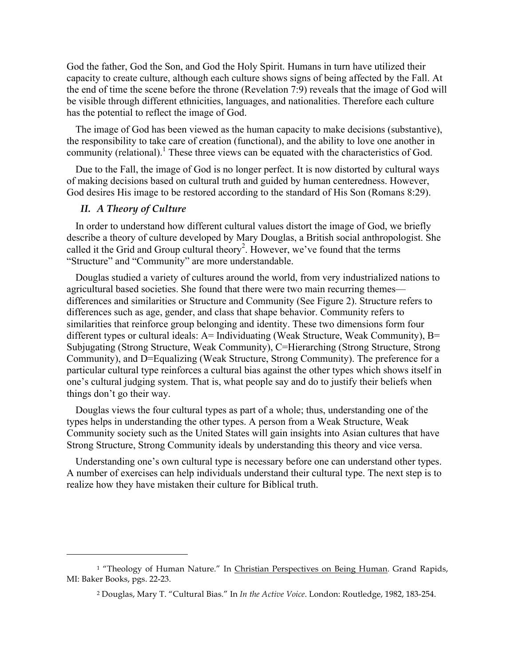God the father, God the Son, and God the Holy Spirit. Humans in turn have utilized their capacity to create culture, although each culture shows signs of being affected by the Fall. At the end of time the scene before the throne (Revelation 7:9) reveals that the image of God will be visible through different ethnicities, languages, and nationalities. Therefore each culture has the potential to reflect the image of God.

The image of God has been viewed as the human capacity to make decisions (substantive), the responsibility to take care of creation (functional), and the ability to love one another in community (relational).<sup>1</sup> These three views can be equated with the characteristics of God.

Due to the Fall, the image of God is no longer perfect. It is now distorted by cultural ways of making decisions based on cultural truth and guided by human centeredness. However, God desires His image to be restored according to the standard of His Son (Romans 8:29).

## *II. A Theory of Culture*

 $\overline{a}$ 

In order to understand how different cultural values distort the image of God, we briefly describe a theory of culture developed by Mary Douglas, a British social anthropologist. She called it the Grid and Group cultural theory 2 . However, we've found that the terms "Structure" and "Community" are more understandable.

Douglas studied a variety of cultures around the world, from very industrialized nations to agricultural based societies. She found that there were two main recurring themes differences and similarities or Structure and Community (See Figure 2). Structure refers to differences such as age, gender, and class that shape behavior. Community refers to similarities that reinforce group belonging and identity. These two dimensions form four different types or cultural ideals:  $A=$  Individuating (Weak Structure, Weak Community),  $B=$ Subjugating (Strong Structure, Weak Community), C=Hierarching (Strong Structure, Strong Community), and D=Equalizing (Weak Structure, Strong Community). The preference for a particular cultural type reinforces a cultural bias against the other types which shows itself in one's cultural judging system. That is, what people say and do to justify their beliefs when things don't go their way.

Douglas views the four cultural types as part of a whole; thus, understanding one of the types helps in understanding the other types. A person from a Weak Structure, Weak Community society such as the United States will gain insights into Asian cultures that have Strong Structure, Strong Community ideals by understanding this theory and vice versa.

Understanding one's own cultural type is necessary before one can understand other types. A number of exercises can help individuals understand their cultural type. The next step is to realize how they have mistaken their culture for Biblical truth.

<sup>&</sup>lt;sup>1</sup> "Theology of Human Nature." In Christian Perspectives on Being Human. Grand Rapids, MI: Baker Books, pgs. 22-23.

<sup>2</sup> Douglas, Mary T. "Cultural Bias." In *In the Active Voice*. London: Routledge, 1982, 183-254.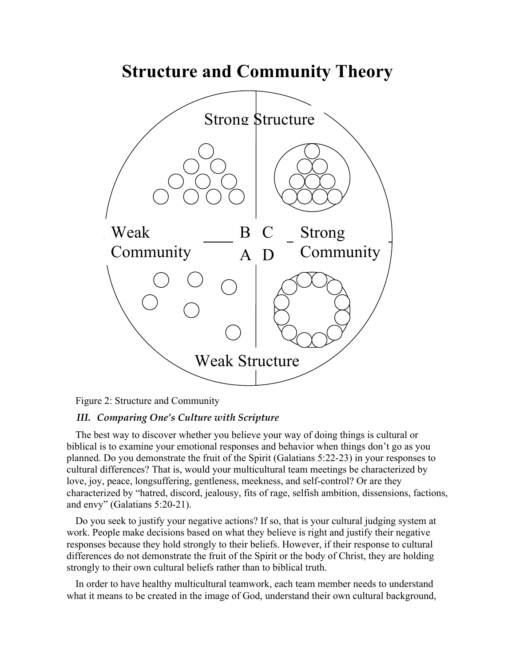

Figure 2: Structure and Community

## *III. Comparing One's Culture with Scripture*

The best way to discover whether you believe your way of doing things is cultural or biblical is to examine your emotional responses and behavior when things don't go as you planned. Do you demonstrate the fruit of the Spirit (Galatians 5:22-23) in your responses to cultural differences? That is, would your multicultural team meetings be characterized by love, joy, peace, longsuffering, gentleness, meekness, and self-control? Or are they characterized by "hatred, discord, jealousy, fits of rage, selfish ambition, dissensions, factions, and envy" (Galatians 5:20-21).

Do you seek to justify your negative actions? If so, that is your cultural judging system at work. People make decisions based on what they believe is right and justify their negative responses because they hold strongly to their beliefs. However, if their response to cultural differences do not demonstrate the fruit of the Spirit or the body of Christ, they are holding strongly to their own cultural beliefs rather than to biblical truth.

In order to have healthy multicultural teamwork, each team member needs to understand what it means to be created in the image of God, understand their own cultural background,